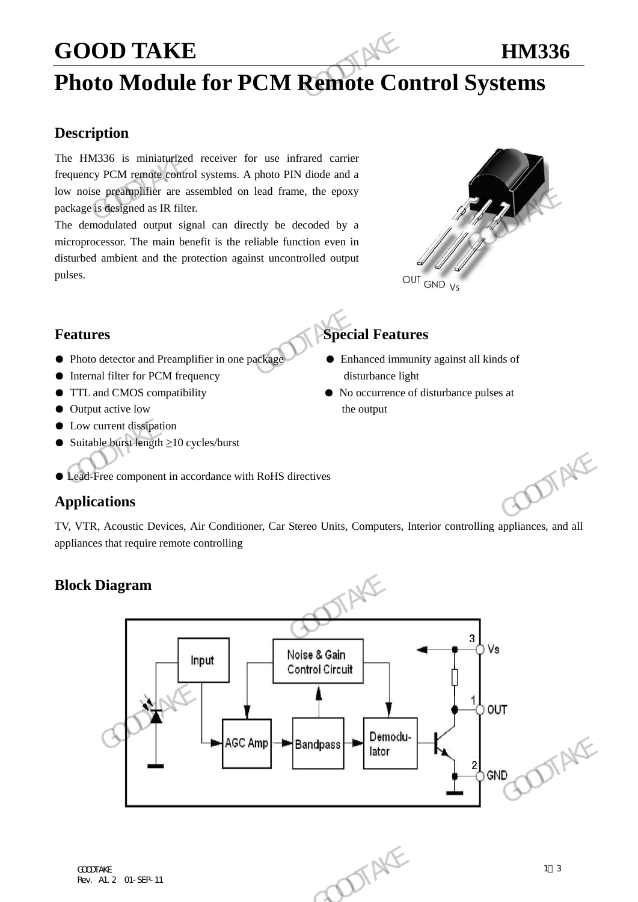### GOOD TAKE **HM336**

## **Photo Module for PCM Remote Control Systems**

### **Description**

The HM336 is miniaturized receiver for use infrared carrier frequency PCM remote control systems. A photo PIN diode and a low noise preamplifier are assembled on lead frame, the epoxy package is designed as IR filter. **GOOD TAKE**<br> **Photo Module for PCM Remote Co**<br> **Description**<br>
The HM336 is miniaturized receiver for use infrared carrier<br>
frequency PCM remote control systems. A photo PIN diode and a<br>
low noise preanplifter are assembled

The demodulated output signal can directly be decoded by a microprocessor. The main benefit is the reliable function even in disturbed ambient and the protection against uncontrolled output pulses.



### **Features** Special Features

- Photo detector and Preamplifier in one package → Enhanced immunity against all kinds of
- Internal filter for PCM frequency disturbance light
- TTL and CMOS compatibility No occurrence of disturbance pulses at
- Output active low the output
- Low current dissipation
- Suitable burst length ≥10 cycles/burst

#### ● Lead-Free component in accordance with RoHS directives

### **Applications**

TV, VTR, Acoustic Devices, Air Conditioner, Car Stereo Units, Computers, Interior controlling appliances, and all appliances that require remote controlling

### **Block Diagram**

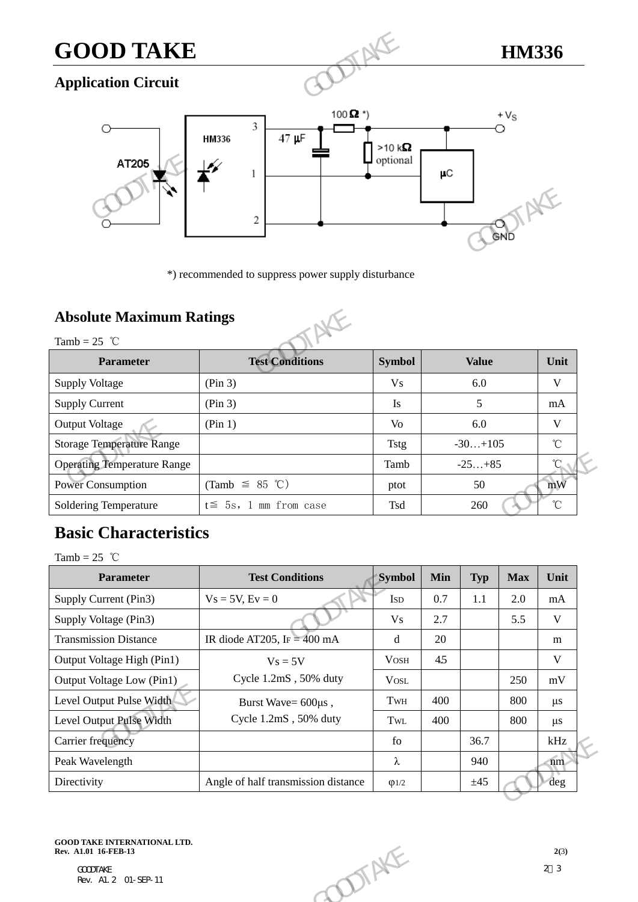# **GOOD TAKE HM336**

### **Application Circuit**



\*) recommended to suppress power supply disturbance

### **Absolute Maximum Ratings**



|                                                   | 2                                                   |                | GND          |                 |
|---------------------------------------------------|-----------------------------------------------------|----------------|--------------|-----------------|
|                                                   | *) recommended to suppress power supply disturbance |                |              |                 |
| <b>Absolute Maximum Ratings</b><br>Tamb = $25$ °C |                                                     |                |              |                 |
| <b>Parameter</b>                                  | <b>Test Conditions</b>                              | <b>Symbol</b>  | <b>Value</b> | Unit            |
| <b>Supply Voltage</b>                             | (Pin 3)                                             | V <sub>s</sub> | 6.0          | V               |
| <b>Supply Current</b>                             | (Pin 3)                                             | Is             | 5            | mA              |
| <b>Output Voltage</b>                             | (Pin 1)                                             | V <sub>O</sub> | 6.0          | V               |
| <b>Storage Temperature Range</b>                  |                                                     | <b>Tstg</b>    | $-30+105$    | $^{\circ}$ C    |
| <b>Operating Temperature Range</b>                |                                                     | Tamb           | $-25+85$     | $\rm ^{\circ}C$ |
| <b>Power Consumption</b>                          | (Tamb $\leq$ 85 °C)                                 | ptot           | 50           | mW              |
| <b>Soldering Temperature</b>                      | $t \leq 5s$ , 1 mm from case                        | Tsd            | 260          | $^{\circ}$ C    |

### **Basic Characteristics**

| <b>Operating Temperature Range</b><br>$-25+85$<br>Tamb                                         |                   |
|------------------------------------------------------------------------------------------------|-------------------|
|                                                                                                | $\rm ^{\circ}C$   |
| <b>Power Consumption</b><br>(Tamb $\leq$ 85 °C)<br>50<br>ptot                                  | mW                |
| $t \leq 5s$ , 1 mm from case<br>Soldering Temperature<br>Tsd<br>260                            | $^\circ\!{\rm C}$ |
| <b>Basic Characteristics</b>                                                                   |                   |
| Tamb = $25$ °C                                                                                 |                   |
| <b>Test Conditions</b><br><b>Symbol</b><br><b>Parameter</b><br>Min<br><b>Max</b><br><b>Typ</b> | Unit              |
| Supply Current (Pin3)<br>$Vs = 5V, Ev = 0$<br>0.7<br>1.1<br>2.0<br><b>ISD</b>                  | mA                |
| Supply Voltage (Pin3)<br>V <sub>S</sub><br>2.7<br>5.5                                          | $\mathbf V$       |
| <b>Transmission Distance</b><br>IR diode AT205, IF = $400 \text{ mA}$<br>20<br>d               | m                 |
| Output Voltage High (Pin1)<br>$V$ OSH<br>4.5<br>$V_s = 5V$                                     | V                 |
| Cycle 1.2mS, 50% duty<br>Output Voltage Low (Pin1)<br><b>VOSL</b><br>250                       | mV                |
| Level Output Pulse Width<br>400<br>800<br>TwH<br>Burst Wave= 600us,                            | $\mu$ s           |
| Cycle 1.2mS, 50% duty<br>Level Output Pulse Width<br>400<br>800<br>TwL                         | $\mu$ s           |
| Carrier frequency<br>36.7<br>${\rm fo}$                                                        | kHz               |
| λ<br>Peak Wavelength<br>940                                                                    | $\binom{m}{m}$    |
| Directivity<br>Angle of half transmission distance<br>±45<br>$\varphi$ 1/2                     | deg               |
|                                                                                                |                   |
|                                                                                                |                   |
| <b>GOOD TAKE INTERNATIONAL LTD.</b><br>Rev. A1.01 16-FEB-13<br><b>DOTAKE</b>                   | 2(3)              |
|                                                                                                | 2 <sup>3</sup>    |

### **GOOD TAKE INTERNATIONAL LTD.**